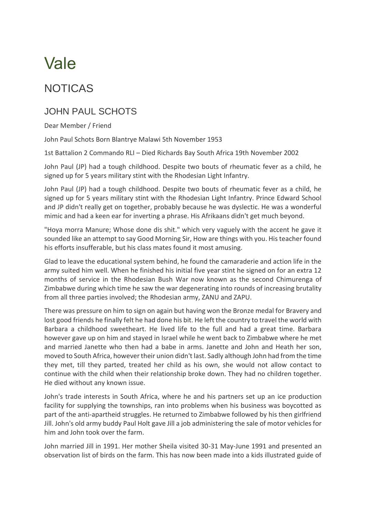## Vale

## NOTICAS

## JOHN PAUL SCHOTS

Dear Member / Friend

John Paul Schots Born Blantrye Malawi 5th November 1953

1st Battalion 2 Commando RLI – Died Richards Bay South Africa 19th November 2002

John Paul (JP) had a tough childhood. Despite two bouts of rheumatic fever as a child, he signed up for 5 years military stint with the Rhodesian Light Infantry.

John Paul (JP) had a tough childhood. Despite two bouts of rheumatic fever as a child, he signed up for 5 years military stint with the Rhodesian Light Infantry. Prince Edward School and JP didn't really get on together, probably because he was dyslectic. He was a wonderful mimic and had a keen ear for inverting a phrase. His Afrikaans didn't get much beyond.

"Hoya morra Manure; Whose done dis shit." which very vaguely with the accent he gave it sounded like an attempt to say Good Morning Sir, How are things with you. His teacher found his efforts insufferable, but his class mates found it most amusing.

Glad to leave the educational system behind, he found the camaraderie and action life in the army suited him well. When he finished his initial five year stint he signed on for an extra 12 months of service in the Rhodesian Bush War now known as the second Chimurenga of Zimbabwe during which time he saw the war degenerating into rounds of increasing brutality from all three parties involved; the Rhodesian army, ZANU and ZAPU.

There was pressure on him to sign on again but having won the Bronze medal for Bravery and lost good friends he finally felt he had done his bit. He left the country to travel the world with Barbara a childhood sweetheart. He lived life to the full and had a great time. Barbara however gave up on him and stayed in Israel while he went back to Zimbabwe where he met and married Janette who then had a babe in arms. Janette and John and Heath her son, moved to South Africa, however their union didn't last. Sadly although John had from the time they met, till they parted, treated her child as his own, she would not allow contact to continue with the child when their relationship broke down. They had no children together. He died without any known issue.

John's trade interests in South Africa, where he and his partners set up an ice production facility for supplying the townships, ran into problems when his business was boycotted as part of the anti-apartheid struggles. He returned to Zimbabwe followed by his then girlfriend Jill. John's old army buddy Paul Holt gave Jill a job administering the sale of motor vehicles for him and John took over the farm.

John married Jill in 1991. Her mother Sheila visited 30-31 May-June 1991 and presented an observation list of birds on the farm. This has now been made into a kids illustrated guide of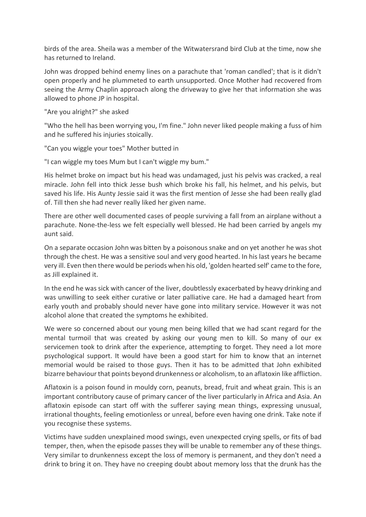birds of the area. Sheila was a member of the Witwatersrand bird Club at the time, now she has returned to Ireland.

John was dropped behind enemy lines on a parachute that 'roman candled'; that is it didn't open properly and he plummeted to earth unsupported. Once Mother had recovered from seeing the Army Chaplin approach along the driveway to give her that information she was allowed to phone JP in hospital.

"Are you alright?" she asked

"Who the hell has been worrying you, I'm fine." John never liked people making a fuss of him and he suffered his injuries stoically.

"Can you wiggle your toes" Mother butted in

"I can wiggle my toes Mum but I can't wiggle my bum."

His helmet broke on impact but his head was undamaged, just his pelvis was cracked, a real miracle. John fell into thick Jesse bush which broke his fall, his helmet, and his pelvis, but saved his life. His Aunty Jessie said it was the first mention of Jesse she had been really glad of. Till then she had never really liked her given name.

There are other well documented cases of people surviving a fall from an airplane without a parachute. None-the-less we felt especially well blessed. He had been carried by angels my aunt said.

On a separate occasion John was bitten by a poisonous snake and on yet another he was shot through the chest. He was a sensitive soul and very good hearted. In his last years he became very ill. Even then there would be periods when his old, 'golden hearted self' came to the fore, as Jill explained it.

In the end he was sick with cancer of the liver, doubtlessly exacerbated by heavy drinking and was unwilling to seek either curative or later palliative care. He had a damaged heart from early youth and probably should never have gone into military service. However it was not alcohol alone that created the symptoms he exhibited.

We were so concerned about our young men being killed that we had scant regard for the mental turmoil that was created by asking our young men to kill. So many of our ex servicemen took to drink after the experience, attempting to forget. They need a lot more psychological support. It would have been a good start for him to know that an internet memorial would be raised to those guys. Then it has to be admitted that John exhibited bizarre behaviour that points beyond drunkenness or alcoholism, to an aflatoxin like affliction.

Aflatoxin is a poison found in mouldy corn, peanuts, bread, fruit and wheat grain. This is an important contributory cause of primary cancer of the liver particularly in Africa and Asia. An aflatoxin episode can start off with the sufferer saying mean things, expressing unusual, irrational thoughts, feeling emotionless or unreal, before even having one drink. Take note if you recognise these systems.

Victims have sudden unexplained mood swings, even unexpected crying spells, or fits of bad temper, then, when the episode passes they will be unable to remember any of these things. Very similar to drunkenness except the loss of memory is permanent, and they don't need a drink to bring it on. They have no creeping doubt about memory loss that the drunk has the